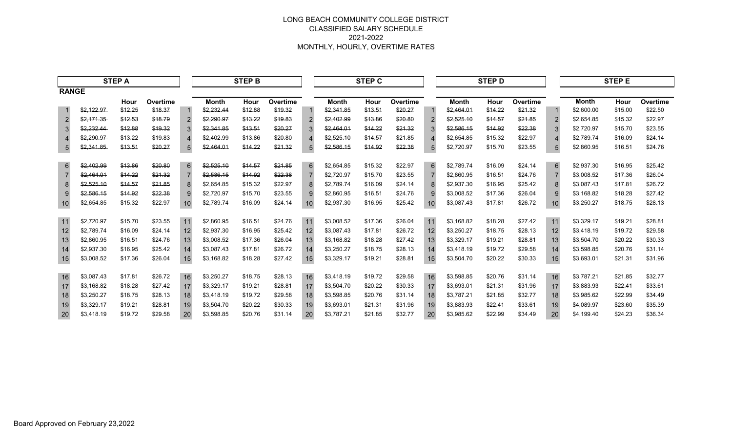|                 | <b>STEP A</b> |         |          |    |              | <b>STEP B</b> |          |                | <b>STEP C</b> |         |          |                |              | <b>STEP D</b> |          |                |              | <b>STEP E</b> |          |
|-----------------|---------------|---------|----------|----|--------------|---------------|----------|----------------|---------------|---------|----------|----------------|--------------|---------------|----------|----------------|--------------|---------------|----------|
| <b>RANGE</b>    |               |         |          |    |              |               |          |                |               |         |          |                |              |               |          |                |              |               |          |
|                 |               | Hour    | Overtime |    | <b>Month</b> | Hour          | Overtime |                | <b>Month</b>  | Hour    | Overtime |                | <b>Month</b> | Hour          | Overtime |                | <b>Month</b> | Hour          | Overtime |
|                 | \$2,122.97    | \$12.25 | \$18.37  |    | \$2,232.44   | \$12.88       | \$19.32  |                | \$2,341.85    | \$13.51 | \$20.27  |                | \$2,464.01   | \$14.22       | \$21.32  | -1             | \$2,600.00   | \$15.00       | \$22.50  |
| 2               | \$2,171.35    | \$12.53 | \$18.79  |    | \$2,290.97   | \$13.22       | \$19.83  | $\overline{2}$ | \$2,402.99    | \$13.86 | \$20.80  | $\overline{2}$ | \$2,525.10   | \$14.57       | \$21.85  |                | \$2,654.85   | \$15.32       | \$22.97  |
| 3               | \$2,232.44    | \$12.88 | \$19.32  |    | \$2.341.85   | \$13.51       | \$20.27  | 3              | \$2,464.01    | \$14.22 | \$21.32  | 3              | \$2,586.15   | \$14.92       | \$22.38  | 3              | \$2.720.97   | \$15.70       | \$23.55  |
| 4               | \$2,290.97    | \$13.22 | \$19.83  |    | \$2,402.99   | \$13.86       | \$20.80  | $\overline{4}$ | \$2,525.10    | \$14.57 | \$21.85  | 4              | \$2,654.85   | \$15.32       | \$22.97  | $\overline{4}$ | \$2.789.74   | \$16.09       | \$24.14  |
| $5\overline{)}$ | \$2,341.85    | \$13.51 | \$20.27  | 5  | \$2,464.01   | \$14.22       | \$21.32  | 5              | \$2,586.15    | \$14.92 | \$22.38  | 5              | \$2,720.97   | \$15.70       | \$23.55  | 5              | \$2,860.95   | \$16.51       | \$24.76  |
| $6\overline{6}$ | \$2,402.99    | \$13.86 | \$20.80  | 6  | \$2,525.10   | \$14.57       | \$21.85  | 6              | \$2,654.85    | \$15.32 | \$22.97  | 6              | \$2,789.74   | \$16.09       | \$24.14  | 6              | \$2,937.30   | \$16.95       | \$25.42  |
| $\overline{7}$  | \$2,464.01    | \$14.22 | \$21.32  |    | \$2,586.15   | \$14.92       | \$22.38  | $\overline{7}$ | \$2,720.97    | \$15.70 | \$23.55  |                | \$2,860.95   | \$16.51       | \$24.76  |                | \$3,008.52   | \$17.36       | \$26.04  |
| 8               | \$2,525.10    | \$14.57 | \$21.85  | 8  | \$2,654.85   | \$15.32       | \$22.97  | 8              | \$2,789.74    | \$16.09 | \$24.14  | 8              | \$2,937.30   | \$16.95       | \$25.42  | 8              | \$3,087.43   | \$17.81       | \$26.72  |
| 9               | \$2,586.15    | \$14.92 | \$22.38  | 9  | \$2,720.97   | \$15.70       | \$23.55  | 9              | \$2,860.95    | \$16.51 | \$24.76  | 9              | \$3,008.52   | \$17.36       | \$26.04  | 9              | \$3,168.82   | \$18.28       | \$27.42  |
| 10              | \$2,654.85    | \$15.32 | \$22.97  | 10 | \$2,789.74   | \$16.09       | \$24.14  | 10             | \$2,937.30    | \$16.95 | \$25.42  | 10             | \$3,087.43   | \$17.81       | \$26.72  | 10             | \$3,250.27   | \$18.75       | \$28.13  |
| 11              | \$2,720.97    | \$15.70 | \$23.55  | 11 | \$2,860.95   | \$16.51       | \$24.76  | 11             | \$3,008.52    | \$17.36 | \$26.04  | 11             | \$3,168.82   | \$18.28       | \$27.42  | 11             | \$3,329.17   | \$19.21       | \$28.81  |
| 12              | \$2,789.74    | \$16.09 | \$24.14  | 12 | \$2,937.30   | \$16.95       | \$25.42  | 12             | \$3,087.43    | \$17.81 | \$26.72  | 12             | \$3,250.27   | \$18.75       | \$28.13  | 12             | \$3.418.19   | \$19.72       | \$29.58  |
| 13              | \$2,860.95    | \$16.51 | \$24.76  | 13 | \$3,008.52   | \$17.36       | \$26.04  | 13             | \$3,168.82    | \$18.28 | \$27.42  | 13             | \$3,329.17   | \$19.21       | \$28.81  | 13             | \$3,504.70   | \$20.22       | \$30.33  |
| 14              | \$2,937.30    | \$16.95 | \$25.42  | 14 | \$3,087.43   | \$17.81       | \$26.72  | 14             | \$3,250.27    | \$18.75 | \$28.13  | 14             | \$3,418.19   | \$19.72       | \$29.58  | 14             | \$3,598.85   | \$20.76       | \$31.14  |
| 15              | \$3,008.52    | \$17.36 | \$26.04  | 15 | \$3,168.82   | \$18.28       | \$27.42  | 15             | \$3,329.17    | \$19.21 | \$28.81  | 15             | \$3,504.70   | \$20.22       | \$30.33  | 15             | \$3,693.01   | \$21.31       | \$31.96  |
| 16              | \$3,087.43    | \$17.81 | \$26.72  | 16 | \$3,250.27   | \$18.75       | \$28.13  | 16             | \$3,418.19    | \$19.72 | \$29.58  | 16             | \$3,598.85   | \$20.76       | \$31.14  | 16             | \$3,787.21   | \$21.85       | \$32.77  |
| 17              | \$3.168.82    | \$18.28 | \$27.42  | 17 | \$3,329.17   | \$19.21       | \$28.81  | 17             | \$3.504.70    | \$20.22 | \$30.33  | 17             | \$3,693.01   | \$21.31       | \$31.96  | 17             | \$3.883.93   | \$22.41       | \$33.61  |
| 18              | \$3,250.27    | \$18.75 | \$28.13  | 18 | \$3,418.19   | \$19.72       | \$29.58  | 18             | \$3,598.85    | \$20.76 | \$31.14  | 18             | \$3,787.21   | \$21.85       | \$32.77  | 18             | \$3,985.62   | \$22.99       | \$34.49  |
| 19              | \$3,329.17    | \$19.21 | \$28.81  | 19 | \$3,504.70   | \$20.22       | \$30.33  | 19             | \$3,693.01    | \$21.31 | \$31.96  | 19             | \$3,883.93   | \$22.41       | \$33.61  | 19             | \$4,089.97   | \$23.60       | \$35.39  |
| 20              | \$3,418.19    | \$19.72 | \$29.58  | 20 | \$3,598.85   | \$20.76       | \$31.14  | 20             | \$3,787.21    | \$21.85 | \$32.77  | 20             | \$3,985.62   | \$22.99       | \$34.49  | 20             | \$4,199.40   | \$24.23       | \$36.34  |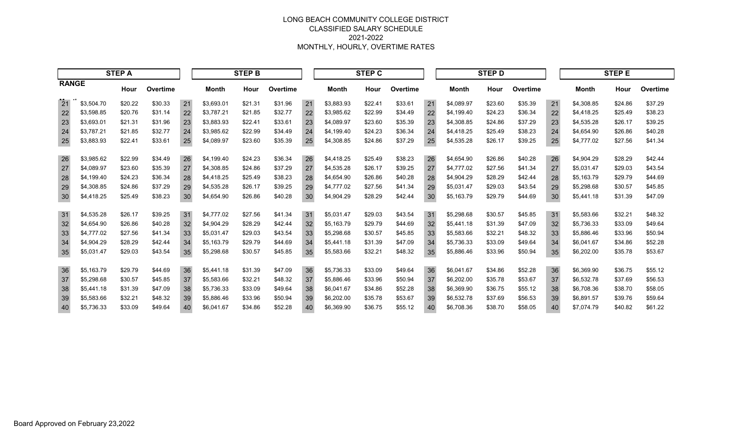|              | <b>STEP A</b> |         |          |    | <b>STEP B</b> |         |                 |    | <b>STEP C</b> |         |          |    |              | <b>STEP D</b> |          |    | <b>STEP E</b> |         |          |
|--------------|---------------|---------|----------|----|---------------|---------|-----------------|----|---------------|---------|----------|----|--------------|---------------|----------|----|---------------|---------|----------|
| <b>RANGE</b> |               | Hour    | Overtime |    | <b>Month</b>  | Hour    | <b>Overtime</b> |    | <b>Month</b>  | Hour    | Overtime |    | <b>Month</b> | Hour          | Overtime |    | <b>Month</b>  | Hour    | Overtime |
| 21           | \$3,504.70    | \$20.22 | \$30.33  | 21 | \$3,693.01    | \$21.31 | \$31.96         | 21 | \$3,883.93    | \$22.41 | \$33.61  | 21 | \$4,089.97   | \$23.60       | \$35.39  | 21 | \$4,308.85    | \$24.86 | \$37.29  |
| 22           | \$3,598.85    | \$20.76 | \$31.14  | 22 | \$3,787.21    | \$21.85 | \$32.77         | 22 | \$3,985.62    | \$22.99 | \$34.49  | 22 | \$4,199.40   | \$24.23       | \$36.34  | 22 | \$4,418.25    | \$25.49 | \$38.23  |
| 23           | \$3,693.01    | \$21.31 | \$31.96  | 23 | \$3,883.93    | \$22.41 | \$33.61         | 23 | \$4.089.97    | \$23.60 | \$35.39  | 23 | \$4,308.85   | \$24.86       | \$37.29  | 23 | \$4,535.28    | \$26.17 | \$39.25  |
| 24           | \$3,787.21    | \$21.85 | \$32.77  | 24 | \$3,985.62    | \$22.99 | \$34.49         | 24 | \$4.199.40    | \$24.23 | \$36.34  | 24 | \$4,418.25   | \$25.49       | \$38.23  | 24 | \$4.654.90    | \$26.86 | \$40.28  |
| 25           | \$3,883.93    | \$22.41 | \$33.61  | 25 | \$4,089.97    | \$23.60 | \$35.39         | 25 | \$4,308.85    | \$24.86 | \$37.29  | 25 | \$4,535.28   | \$26.17       | \$39.25  | 25 | \$4,777.02    | \$27.56 | \$41.34  |
| 26           | \$3,985.62    | \$22.99 | \$34.49  | 26 | \$4,199.40    | \$24.23 | \$36.34         | 26 | \$4,418.25    | \$25.49 | \$38.23  | 26 | \$4,654.90   | \$26.86       | \$40.28  | 26 | \$4,904.29    | \$28.29 | \$42.44  |
| 27           | \$4,089.97    | \$23.60 | \$35.39  | 27 | \$4,308.85    | \$24.86 | \$37.29         | 27 | \$4,535.28    | \$26.17 | \$39.25  | 27 | \$4,777.02   | \$27.56       | \$41.34  | 27 | \$5,031.47    | \$29.03 | \$43.54  |
| 28           | \$4,199.40    | \$24.23 | \$36.34  | 28 | \$4,418.25    | \$25.49 | \$38.23         | 28 | \$4,654.90    | \$26.86 | \$40.28  | 28 | \$4,904.29   | \$28.29       | \$42.44  | 28 | \$5,163.79    | \$29.79 | \$44.69  |
| 29           | \$4,308.85    | \$24.86 | \$37.29  | 29 | \$4,535.28    | \$26.17 | \$39.25         | 29 | \$4,777.02    | \$27.56 | \$41.34  | 29 | \$5,031.47   | \$29.03       | \$43.54  | 29 | \$5,298.68    | \$30.57 | \$45.85  |
| 30           | \$4,418.25    | \$25.49 | \$38.23  | 30 | \$4,654.90    | \$26.86 | \$40.28         | 30 | \$4,904.29    | \$28.29 | \$42.44  | 30 | \$5,163.79   | \$29.79       | \$44.69  | 30 | \$5,441.18    | \$31.39 | \$47.09  |
| 31           | \$4,535.28    | \$26.17 | \$39.25  | 31 | \$4,777.02    | \$27.56 | \$41.34         | 31 | \$5,031.47    | \$29.03 | \$43.54  | 31 | \$5,298.68   | \$30.57       | \$45.85  | 31 | \$5,583.66    | \$32.21 | \$48.32  |
| 32           | \$4,654.90    | \$26.86 | \$40.28  | 32 | \$4,904.29    | \$28.29 | \$42.44         | 32 | \$5,163.79    | \$29.79 | \$44.69  | 32 | \$5,441.18   | \$31.39       | \$47.09  | 32 | \$5,736.33    | \$33.09 | \$49.64  |
| 33           | \$4,777.02    | \$27.56 | \$41.34  | 33 | \$5,031.47    | \$29.03 | \$43.54         | 33 | \$5,298.68    | \$30.57 | \$45.85  | 33 | \$5,583.66   | \$32.21       | \$48.32  | 33 | \$5,886.46    | \$33.96 | \$50.94  |
| 34           | \$4,904.29    | \$28.29 | \$42.44  | 34 | \$5,163.79    | \$29.79 | \$44.69         | 34 | \$5,441.18    | \$31.39 | \$47.09  | 34 | \$5,736.33   | \$33.09       | \$49.64  | 34 | \$6,041.67    | \$34.86 | \$52.28  |
| 35           | \$5,031.47    | \$29.03 | \$43.54  | 35 | \$5,298.68    | \$30.57 | \$45.85         | 35 | \$5,583.66    | \$32.21 | \$48.32  | 35 | \$5,886.46   | \$33.96       | \$50.94  | 35 | \$6,202.00    | \$35.78 | \$53.67  |
| 36           | \$5,163.79    | \$29.79 | \$44.69  | 36 | \$5,441.18    | \$31.39 | \$47.09         | 36 | \$5,736.33    | \$33.09 | \$49.64  | 36 | \$6,041.67   | \$34.86       | \$52.28  | 36 | \$6,369.90    | \$36.75 | \$55.12  |
| 37           | \$5,298.68    | \$30.57 | \$45.85  | 37 | \$5,583.66    | \$32.21 | \$48.32         | 37 | \$5.886.46    | \$33.96 | \$50.94  | 37 | \$6,202.00   | \$35.78       | \$53.67  | 37 | \$6,532.78    | \$37.69 | \$56.53  |
| 38           | \$5,441.18    | \$31.39 | \$47.09  | 38 | \$5,736.33    | \$33.09 | \$49.64         | 38 | \$6,041.67    | \$34.86 | \$52.28  | 38 | \$6,369.90   | \$36.75       | \$55.12  | 38 | \$6,708.36    | \$38.70 | \$58.05  |
| 39           | \$5,583.66    | \$32.21 | \$48.32  | 39 | \$5,886.46    | \$33.96 | \$50.94         | 39 | \$6,202.00    | \$35.78 | \$53.67  | 39 | \$6,532.78   | \$37.69       | \$56.53  | 39 | \$6,891.57    | \$39.76 | \$59.64  |
| 40           | \$5,736.33    | \$33.09 | \$49.64  | 40 | \$6,041.67    | \$34.86 | \$52.28         | 40 | \$6,369.90    | \$36.75 | \$55.12  | 40 | \$6,708.36   | \$38.70       | \$58.05  | 40 | \$7,074.79    | \$40.82 | \$61.22  |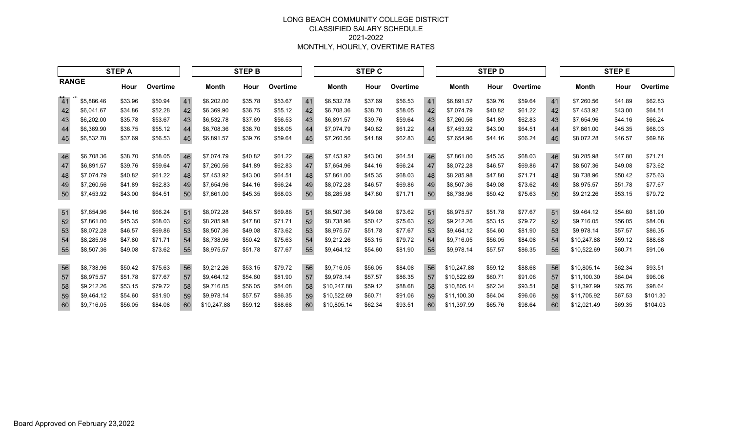|              | <b>STEP A</b> |         |          |    | <b>STEP B</b> |         |          |    | <b>STEP C</b> |         |          |    | <b>STEP D</b> |         |          |    | <b>STEPE</b> |         |          |
|--------------|---------------|---------|----------|----|---------------|---------|----------|----|---------------|---------|----------|----|---------------|---------|----------|----|--------------|---------|----------|
| <b>RANGE</b> |               | Hour    | Overtime |    | <b>Month</b>  | Hour    | Overtime |    | <b>Month</b>  | Hour    | Overtime |    | <b>Month</b>  | Hour    | Overtime |    | Month        | Hour    | Overtime |
| 41           | \$5.886.46    | \$33.96 | \$50.94  | 41 | \$6,202.00    | \$35.78 | \$53.67  | 41 | \$6,532.78    | \$37.69 | \$56.53  | 41 | \$6,891.57    | \$39.76 | \$59.64  | 41 | \$7,260.56   | \$41.89 | \$62.83  |
| 42           | \$6,041.67    | \$34.86 | \$52.28  | 42 | \$6,369.90    | \$36.75 | \$55.12  | 42 | \$6,708.36    | \$38.70 | \$58.05  | 42 | \$7,074.79    | \$40.82 | \$61.22  | 42 | \$7,453.92   | \$43.00 | \$64.51  |
| 43           | \$6,202.00    | \$35.78 | \$53.67  | 43 | \$6,532.78    | \$37.69 | \$56.53  | 43 | \$6,891.57    | \$39.76 | \$59.64  | 43 | \$7,260.56    | \$41.89 | \$62.83  | 43 | \$7,654.96   | \$44.16 | \$66.24  |
| 44           | \$6,369.90    | \$36.75 | \$55.12  | 44 | \$6,708.36    | \$38.70 | \$58.05  | 44 | \$7.074.79    | \$40.82 | \$61.22  | 44 | \$7,453.92    | \$43.00 | \$64.51  | 44 | \$7,861.00   | \$45.35 | \$68.03  |
| 45           | \$6,532.78    | \$37.69 | \$56.53  | 45 | \$6,891.57    | \$39.76 | \$59.64  | 45 | \$7,260.56    | \$41.89 | \$62.83  | 45 | \$7,654.96    | \$44.16 | \$66.24  | 45 | \$8.072.28   | \$46.57 | \$69.86  |
| 46           | \$6,708.36    | \$38.70 | \$58.05  | 46 | \$7,074.79    | \$40.82 | \$61.22  | 46 | \$7,453.92    | \$43.00 | \$64.51  | 46 | \$7,861.00    | \$45.35 | \$68.03  | 46 | \$8,285.98   | \$47.80 | \$71.71  |
| 47           | \$6,891.57    | \$39.76 | \$59.64  | 47 | \$7,260.56    | \$41.89 | \$62.83  | 47 | \$7,654.96    | \$44.16 | \$66.24  | 47 | \$8,072.28    | \$46.57 | \$69.86  | 47 | \$8,507.36   | \$49.08 | \$73.62  |
| 48           | \$7.074.79    | \$40.82 | \$61.22  | 48 | \$7,453.92    | \$43.00 | \$64.51  | 48 | \$7,861.00    | \$45.35 | \$68.03  | 48 | \$8,285.98    | \$47.80 | \$71.71  | 48 | \$8,738.96   | \$50.42 | \$75.63  |
| 49           | \$7,260.56    | \$41.89 | \$62.83  | 49 | \$7,654.96    | \$44.16 | \$66.24  | 49 | \$8,072.28    | \$46.57 | \$69.86  | 49 | \$8,507.36    | \$49.08 | \$73.62  | 49 | \$8.975.57   | \$51.78 | \$77.67  |
| 50           | \$7,453.92    | \$43.00 | \$64.51  | 50 | \$7,861.00    | \$45.35 | \$68.03  | 50 | \$8,285.98    | \$47.80 | \$71.71  | 50 | \$8,738.96    | \$50.42 | \$75.63  | 50 | \$9,212.26   | \$53.15 | \$79.72  |
| 51           | \$7,654.96    | \$44.16 | \$66.24  | 51 | \$8,072.28    | \$46.57 | \$69.86  | 51 | \$8,507.36    | \$49.08 | \$73.62  | 51 | \$8,975.57    | \$51.78 | \$77.67  | 51 | \$9,464.12   | \$54.60 | \$81.90  |
| 52           | \$7,861.00    | \$45.35 | \$68.03  | 52 | \$8,285.98    | \$47.80 | \$71.71  | 52 | \$8,738.96    | \$50.42 | \$75.63  | 52 | \$9,212.26    | \$53.15 | \$79.72  | 52 | \$9,716.05   | \$56.05 | \$84.08  |
| 53           | \$8,072.28    | \$46.57 | \$69.86  | 53 | \$8,507.36    | \$49.08 | \$73.62  | 53 | \$8,975.57    | \$51.78 | \$77.67  | 53 | \$9,464.12    | \$54.60 | \$81.90  | 53 | \$9.978.14   | \$57.57 | \$86.35  |
| 54           | \$8,285.98    | \$47.80 | \$71.71  | 54 | \$8,738.96    | \$50.42 | \$75.63  | 54 | \$9,212.26    | \$53.15 | \$79.72  | 54 | \$9,716.05    | \$56.05 | \$84.08  | 54 | \$10,247.88  | \$59.12 | \$88.68  |
| 55           | \$8,507.36    | \$49.08 | \$73.62  | 55 | \$8,975.57    | \$51.78 | \$77.67  | 55 | \$9,464.12    | \$54.60 | \$81.90  | 55 | \$9,978.14    | \$57.57 | \$86.35  | 55 | \$10,522.69  | \$60.71 | \$91.06  |
| 56           | \$8,738.96    | \$50.42 | \$75.63  | 56 | \$9,212.26    | \$53.15 | \$79.72  | 56 | \$9,716.05    | \$56.05 | \$84.08  | 56 | \$10,247.88   | \$59.12 | \$88.68  | 56 | \$10,805.14  | \$62.34 | \$93.51  |
| 57           | \$8,975.57    | \$51.78 | \$77.67  | 57 | \$9,464.12    | \$54.60 | \$81.90  | 57 | \$9,978.14    | \$57.57 | \$86.35  | 57 | \$10,522.69   | \$60.71 | \$91.06  | 57 | \$11,100.30  | \$64.04 | \$96.06  |
| 58           | \$9,212.26    | \$53.15 | \$79.72  | 58 | \$9,716.05    | \$56.05 | \$84.08  | 58 | \$10,247.88   | \$59.12 | \$88.68  | 58 | \$10,805.14   | \$62.34 | \$93.51  | 58 | \$11,397.99  | \$65.76 | \$98.64  |
| 59           | \$9,464.12    | \$54.60 | \$81.90  | 59 | \$9,978.14    | \$57.57 | \$86.35  | 59 | \$10,522.69   | \$60.71 | \$91.06  | 59 | \$11,100.30   | \$64.04 | \$96.06  | 59 | \$11,705.92  | \$67.53 | \$101.30 |
| 60           | \$9,716.05    | \$56.05 | \$84.08  | 60 | \$10,247.88   | \$59.12 | \$88.68  | 60 | \$10,805.14   | \$62.34 | \$93.51  | 60 | \$11,397.99   | \$65.76 | \$98.64  | 60 | \$12,021.49  | \$69.35 | \$104.03 |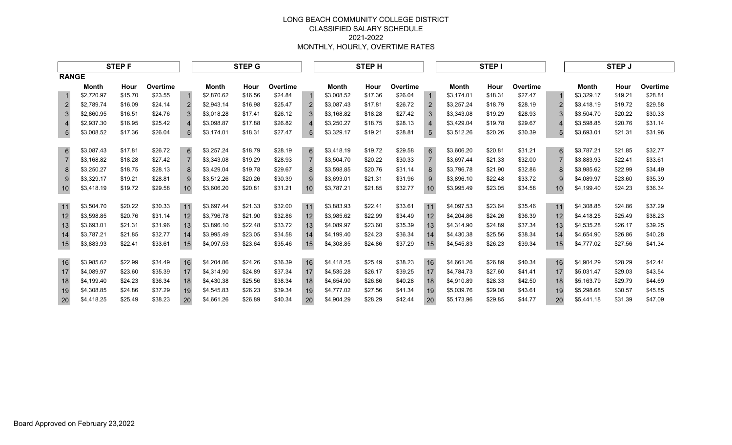|                 | <b>STEPF</b> |         |          |                |              | <b>STEP G</b> |          | <b>STEPH</b>   |            |         |          |                |              | <b>STEPI</b> |          |               |              | <b>STEP J</b> |          |
|-----------------|--------------|---------|----------|----------------|--------------|---------------|----------|----------------|------------|---------|----------|----------------|--------------|--------------|----------|---------------|--------------|---------------|----------|
| <b>RANGE</b>    |              |         |          |                |              |               |          |                |            |         |          |                |              |              |          |               |              |               |          |
|                 | <b>Month</b> | Hour    | Overtime |                | <b>Month</b> | Hour          | Overtime |                | Month      | Hour    | Overtime |                | <b>Month</b> | Hour         | Overtime |               | <b>Month</b> | Hour          | Overtime |
|                 | \$2,720.97   | \$15.70 | \$23.55  |                | \$2,870.62   | \$16.56       | \$24.84  |                | \$3,008.52 | \$17.36 | \$26.04  | $\mathbf{1}$   | \$3,174.01   | \$18.31      | \$27.47  |               | \$3,329.17   | \$19.21       | \$28.81  |
| $\overline{2}$  | \$2,789.74   | \$16.09 | \$24.14  | $\overline{2}$ | \$2,943.14   | \$16.98       | \$25.47  | 2              | \$3,087.43 | \$17.81 | \$26.72  | $\overline{2}$ | \$3,257.24   | \$18.79      | \$28.19  |               | \$3,418.19   | \$19.72       | \$29.58  |
| $\mathbf{3}$    | \$2.860.95   | \$16.51 | \$24.76  | 3              | \$3,018.28   | \$17.41       | \$26.12  | 3              | \$3.168.82 | \$18.28 | \$27.42  | 3              | \$3,343.08   | \$19.29      | \$28.93  | $\mathcal{S}$ | \$3.504.70   | \$20.22       | \$30.33  |
| $\overline{4}$  | \$2,937.30   | \$16.95 | \$25.42  | 4              | \$3,098.87   | \$17.88       | \$26.82  | $\overline{4}$ | \$3,250.27 | \$18.75 | \$28.13  | $\overline{4}$ | \$3,429.04   | \$19.78      | \$29.67  |               | \$3.598.85   | \$20.76       | \$31.14  |
| $5\overline{)}$ | \$3,008.52   | \$17.36 | \$26.04  | 5              | \$3,174.01   | \$18.31       | \$27.47  | 5              | \$3,329.17 | \$19.21 | \$28.81  | 5              | \$3,512.26   | \$20.26      | \$30.39  | 5             | \$3,693.01   | \$21.31       | \$31.96  |
| $6\phantom{1}$  | \$3,087.43   | \$17.81 | \$26.72  | 6              | \$3,257.24   | \$18.79       | \$28.19  | 6              | \$3,418.19 | \$19.72 | \$29.58  | 6              | \$3,606.20   | \$20.81      | \$31.21  | 6             | \$3,787.21   | \$21.85       | \$32.77  |
| $\overline{7}$  | \$3,168.82   | \$18.28 | \$27.42  | $\overline{7}$ | \$3,343.08   | \$19.29       | \$28.93  | $\overline{7}$ | \$3,504.70 | \$20.22 | \$30.33  | $\overline{7}$ | \$3,697.44   | \$21.33      | \$32.00  |               | \$3,883.93   | \$22.41       | \$33.61  |
| 8               | \$3.250.27   | \$18.75 | \$28.13  | 8              | \$3,429.04   | \$19.78       | \$29.67  | 8              | \$3.598.85 | \$20.76 | \$31.14  | 8              | \$3,796.78   | \$21.90      | \$32.86  | 8             | \$3.985.62   | \$22.99       | \$34.49  |
| 9               | \$3.329.17   | \$19.21 | \$28.81  | 9              | \$3,512.26   | \$20.26       | \$30.39  | 9              | \$3.693.01 | \$21.31 | \$31.96  | 9              | \$3,896.10   | \$22.48      | \$33.72  | 9             | \$4.089.97   | \$23.60       | \$35.39  |
| 10              | \$3,418.19   | \$19.72 | \$29.58  | 10             | \$3,606.20   | \$20.81       | \$31.21  | 10             | \$3,787.21 | \$21.85 | \$32.77  | 10             | \$3,995.49   | \$23.05      | \$34.58  |               | \$4,199.40   | \$24.23       | \$36.34  |
| 11              | \$3,504.70   | \$20.22 | \$30.33  | 11             | \$3,697.44   | \$21.33       | \$32.00  | 11             | \$3,883.93 | \$22.41 | \$33.61  | 11             | \$4,097.53   | \$23.64      | \$35.46  | 11            | \$4,308.85   | \$24.86       | \$37.29  |
| 12              | \$3,598.85   | \$20.76 | \$31.14  | 12             | \$3,796.78   | \$21.90       | \$32.86  | 12             | \$3,985.62 | \$22.99 | \$34.49  | 12             | \$4,204.86   | \$24.26      | \$36.39  | 12            | \$4,418.25   | \$25.49       | \$38.23  |
| 13              | \$3,693.01   | \$21.31 | \$31.96  | 13             | \$3,896.10   | \$22.48       | \$33.72  | 13             | \$4,089.97 | \$23.60 | \$35.39  | 13             | \$4,314.90   | \$24.89      | \$37.34  | 13            | \$4,535.28   | \$26.17       | \$39.25  |
| 14              | \$3,787.21   | \$21.85 | \$32.77  | 14             | \$3,995.49   | \$23.05       | \$34.58  | 14             | \$4,199.40 | \$24.23 | \$36.34  | 14             | \$4,430.38   | \$25.56      | \$38.34  | 14            | \$4,654.90   | \$26.86       | \$40.28  |
| 15              | \$3,883.93   | \$22.41 | \$33.61  | 15             | \$4,097.53   | \$23.64       | \$35.46  | 15             | \$4,308.85 | \$24.86 | \$37.29  | 15             | \$4,545.83   | \$26.23      | \$39.34  | 15            | \$4,777.02   | \$27.56       | \$41.34  |
| 16              | \$3,985.62   | \$22.99 | \$34.49  | 16             | \$4,204.86   | \$24.26       | \$36.39  | 16             | \$4,418.25 | \$25.49 | \$38.23  | 16             | \$4,661.26   | \$26.89      | \$40.34  | 16            | \$4,904.29   | \$28.29       | \$42.44  |
| 17              | \$4,089.97   | \$23.60 | \$35.39  | 17             | \$4,314.90   | \$24.89       | \$37.34  | 17             | \$4.535.28 | \$26.17 | \$39.25  | 17             | \$4,784.73   | \$27.60      | \$41.41  | 17            | \$5.031.47   | \$29.03       | \$43.54  |
| 18              | \$4,199.40   | \$24.23 | \$36.34  | 18             | \$4,430.38   | \$25.56       | \$38.34  | 18             | \$4,654.90 | \$26.86 | \$40.28  | 18             | \$4,910.89   | \$28.33      | \$42.50  | 18            | \$5,163.79   | \$29.79       | \$44.69  |
| 19              | \$4,308.85   | \$24.86 | \$37.29  | 19             | \$4,545.83   | \$26.23       | \$39.34  | 19             | \$4,777.02 | \$27.56 | \$41.34  | 19             | \$5,039.76   | \$29.08      | \$43.61  | 19            | \$5,298.68   | \$30.57       | \$45.85  |
| 20              | \$4,418.25   | \$25.49 | \$38.23  | 20             | \$4,661.26   | \$26.89       | \$40.34  | 20             | \$4,904.29 | \$28.29 | \$42.44  | 20             | \$5,173.96   | \$29.85      | \$44.77  | 20            | \$5,441.18   | \$31.39       | \$47.09  |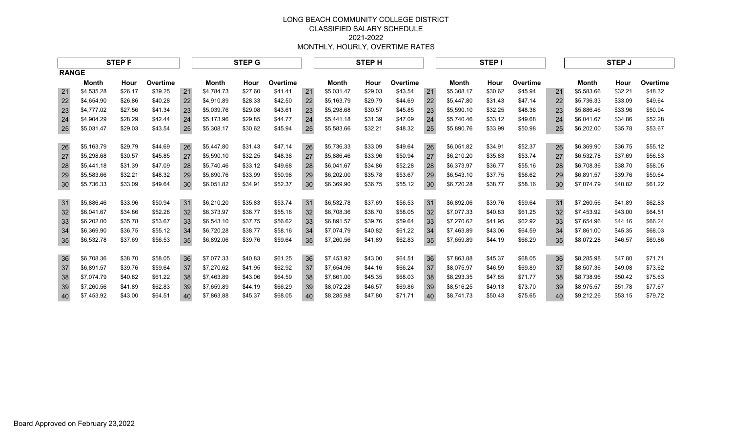|              | <b>STEPF</b> |         |          |    |            | <b>STEP G</b> |          | <b>STEPH</b> |            |         |          |    |            | STEP I  |          |    |            | <b>STEP J</b> |          |
|--------------|--------------|---------|----------|----|------------|---------------|----------|--------------|------------|---------|----------|----|------------|---------|----------|----|------------|---------------|----------|
| <b>RANGE</b> |              |         |          |    |            |               |          |              |            |         |          |    |            |         |          |    |            |               |          |
|              | Month        | Hour    | Overtime |    | Month      | Hour          | Overtime |              | Month      | Hour    | Overtime |    | Month      | Hour    | Overtime |    | Month      | Hour          | Overtime |
| 21           | \$4,535.28   | \$26.17 | \$39.25  | 21 | \$4,784.73 | \$27.60       | \$41.41  | 21           | \$5,031.47 | \$29.03 | \$43.54  | 21 | \$5,308.17 | \$30.62 | \$45.94  | 21 | \$5,583.66 | \$32.21       | \$48.32  |
| 22           | \$4,654.90   | \$26.86 | \$40.28  | 22 | \$4,910.89 | \$28.33       | \$42.50  | 22           | \$5,163.79 | \$29.79 | \$44.69  | 22 | \$5,447.80 | \$31.43 | \$47.14  | 22 | \$5,736.33 | \$33.09       | \$49.64  |
| 23           | \$4,777.02   | \$27.56 | \$41.34  | 23 | \$5,039.76 | \$29.08       | \$43.61  | 23           | \$5,298.68 | \$30.57 | \$45.85  | 23 | \$5,590.10 | \$32.25 | \$48.38  | 23 | \$5,886.46 | \$33.96       | \$50.94  |
| 24           | \$4,904.29   | \$28.29 | \$42.44  | 24 | \$5,173.96 | \$29.85       | \$44.77  | 24           | \$5,441.18 | \$31.39 | \$47.09  | 24 | \$5,740.46 | \$33.12 | \$49.68  | 24 | \$6,041.67 | \$34.86       | \$52.28  |
| 25           | \$5,031.47   | \$29.03 | \$43.54  | 25 | \$5,308.17 | \$30.62       | \$45.94  | 25           | \$5,583.66 | \$32.21 | \$48.32  | 25 | \$5,890.76 | \$33.99 | \$50.98  | 25 | \$6,202.00 | \$35.78       | \$53.67  |
| 26           | \$5,163.79   | \$29.79 | \$44.69  | 26 | \$5,447.80 | \$31.43       | \$47.14  | 26           | \$5,736.33 | \$33.09 | \$49.64  | 26 | \$6,051.82 | \$34.91 | \$52.37  | 26 | \$6,369.90 | \$36.75       | \$55.12  |
| 27           | \$5,298.68   | \$30.57 | \$45.85  | 27 | \$5,590.10 | \$32.25       | \$48.38  | 27           | \$5.886.46 | \$33.96 | \$50.94  | 27 | \$6,210.20 | \$35.83 | \$53.74  | 27 | \$6,532.78 | \$37.69       | \$56.53  |
| 28           | \$5,441.18   | \$31.39 | \$47.09  | 28 | \$5,740.46 | \$33.12       | \$49.68  | 28           | \$6,041.67 | \$34.86 | \$52.28  | 28 | \$6,373.97 | \$36.77 | \$55.16  | 28 | \$6,708.36 | \$38.70       | \$58.05  |
| 29           | \$5,583.66   | \$32.21 | \$48.32  | 29 | \$5,890.76 | \$33.99       | \$50.98  | 29           | \$6,202.00 | \$35.78 | \$53.67  | 29 | \$6,543.10 | \$37.75 | \$56.62  | 29 | \$6,891.57 | \$39.76       | \$59.64  |
| 30           | \$5,736.33   | \$33.09 | \$49.64  | 30 | \$6,051.82 | \$34.91       | \$52.37  | 30           | \$6,369.90 | \$36.75 | \$55.12  | 30 | \$6,720.28 | \$38.77 | \$58.16  | 30 | \$7,074.79 | \$40.82       | \$61.22  |
| 31           | \$5,886.46   | \$33.96 | \$50.94  | 31 | \$6,210.20 | \$35.83       | \$53.74  | 31           | \$6,532.78 | \$37.69 | \$56.53  | 31 | \$6,892.06 | \$39.76 | \$59.64  | 31 | \$7,260.56 | \$41.89       | \$62.83  |
| 32           | \$6,041.67   | \$34.86 | \$52.28  | 32 | \$6,373.97 | \$36.77       | \$55.16  | 32           | \$6.708.36 | \$38.70 | \$58.05  | 32 | \$7.077.33 | \$40.83 | \$61.25  | 32 | \$7,453.92 | \$43.00       | \$64.51  |
| 33           | \$6,202.00   | \$35.78 | \$53.67  | 33 | \$6,543.10 | \$37.75       | \$56.62  | 33           | \$6.891.57 | \$39.76 | \$59.64  | 33 | \$7,270.62 | \$41.95 | \$62.92  | 33 | \$7,654.96 | \$44.16       | \$66.24  |
| 34           | \$6,369.90   | \$36.75 | \$55.12  | 34 | \$6,720.28 | \$38.77       | \$58.16  | 34           | \$7.074.79 | \$40.82 | \$61.22  | 34 | \$7.463.89 | \$43.06 | \$64.59  | 34 | \$7.861.00 | \$45.35       | \$68.03  |
| 35           | \$6,532.78   | \$37.69 | \$56.53  | 35 | \$6,892.06 | \$39.76       | \$59.64  | 35           | \$7,260.56 | \$41.89 | \$62.83  | 35 | \$7,659.89 | \$44.19 | \$66.29  | 35 | \$8,072.28 | \$46.57       | \$69.86  |
| 36           | \$6,708.36   | \$38.70 | \$58.05  | 36 | \$7,077.33 | \$40.83       | \$61.25  | 36           | \$7,453.92 | \$43.00 | \$64.51  | 36 | \$7,863.88 | \$45.37 | \$68.05  | 36 | \$8,285.98 | \$47.80       | \$71.71  |
| 37           | \$6,891.57   | \$39.76 | \$59.64  | 37 | \$7.270.62 | \$41.95       | \$62.92  | 37           | \$7.654.96 | \$44.16 | \$66.24  | 37 | \$8,075.97 | \$46.59 | \$69.89  | 37 | \$8.507.36 | \$49.08       | \$73.62  |
| 38           | \$7,074.79   | \$40.82 | \$61.22  | 38 | \$7,463.89 | \$43.06       | \$64.59  | 38           | \$7,861.00 | \$45.35 | \$68.03  | 38 | \$8,293.35 | \$47.85 | \$71.77  | 38 | \$8,738.96 | \$50.42       | \$75.63  |
| 39           | \$7,260.56   | \$41.89 | \$62.83  | 39 | \$7,659.89 | \$44.19       | \$66.29  | 39           | \$8.072.28 | \$46.57 | \$69.86  | 39 | \$8,516.25 | \$49.13 | \$73.70  | 39 | \$8,975.57 | \$51.78       | \$77.67  |
| 40           | \$7,453.92   | \$43.00 | \$64.51  | 40 | \$7,863.88 | \$45.37       | \$68.05  | 40           | \$8,285.98 | \$47.80 | \$71.71  | 40 | \$8,741.73 | \$50.43 | \$75.65  | 40 | \$9,212.26 | \$53.15       | \$79.72  |